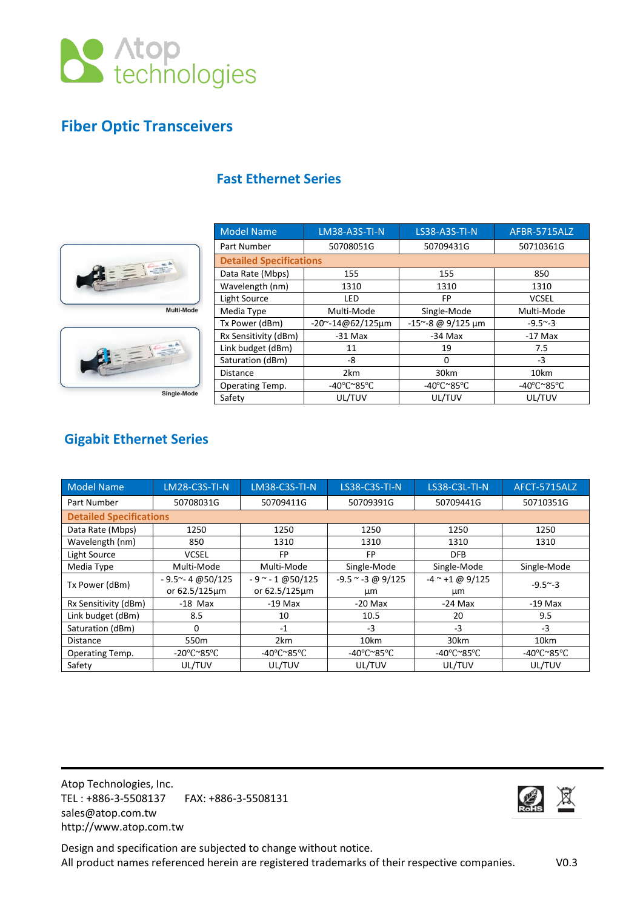

# **Fiber Optic Transceivers**



| <b>Model Name</b>              | <b>LM38-A3S-TI-N</b>                     | <b>LS38-A3S-TI-N</b>                     | AFBR-5715ALZ                             |  |
|--------------------------------|------------------------------------------|------------------------------------------|------------------------------------------|--|
| Part Number                    | 50708051G                                | 50709431G                                | 50710361G                                |  |
| <b>Detailed Specifications</b> |                                          |                                          |                                          |  |
| Data Rate (Mbps)               | 155                                      | 155                                      | 850                                      |  |
| Wavelength (nm)                | 1310                                     | 1310                                     | 1310                                     |  |
| Light Source                   | LED                                      | FP                                       | <b>VCSEL</b>                             |  |
| Media Type                     | Multi-Mode                               | Single-Mode                              | Multi-Mode                               |  |
| Tx Power (dBm)                 | $-20$ ~ $-14@62/125$ µm                  | $-15^{\sim} - 8$ @ 9/125 µm              | $-9.5^{\sim} -3$                         |  |
| Rx Sensitivity (dBm)           | $-31$ Max                                | $-34$ Max                                | $-17$ Max                                |  |
| Link budget (dBm)              | 11                                       | 19                                       | 7.5                                      |  |
| Saturation (dBm)               | -8                                       | $\Omega$                                 | $-3$                                     |  |
| <b>Distance</b>                | 2km                                      | 30km                                     | 10km                                     |  |
| Operating Temp.                | -40 $\degree$ C $\degree$ 85 $\degree$ C | -40 $\degree$ C $\degree$ 85 $\degree$ C | -40 $\degree$ C $\degree$ 85 $\degree$ C |  |
| Safety                         | UL/TUV                                   | UL/TUV                                   | UL/TUV                                   |  |

## **Fast Ethernet Series**

# **Gigabit Ethernet Series**

| <b>Model Name</b>              | <b>LM28-C3S-TI-N</b>                     | <b>LM38-C3S-TI-N</b> | LS38-C3S-TI-N         | LS38-C3L-TI-N     | AFCT-5715ALZ                             |
|--------------------------------|------------------------------------------|----------------------|-----------------------|-------------------|------------------------------------------|
| Part Number                    | 50708031G                                | 50709411G            | 50709391G             | 50709441G         | 50710351G                                |
| <b>Detailed Specifications</b> |                                          |                      |                       |                   |                                          |
| Data Rate (Mbps)               | 1250                                     | 1250                 | 1250                  | 1250              | 1250                                     |
| Wavelength (nm)                | 850                                      | 1310                 | 1310                  | 1310              | 1310                                     |
| Light Source                   | <b>VCSEL</b>                             | FP                   | FP                    | <b>DFB</b>        |                                          |
| Media Type                     | Multi-Mode                               | Multi-Mode           | Single-Mode           | Single-Mode       | Single-Mode                              |
| Tx Power (dBm)                 | $-9.5^{\sim} - 4 \omega$ 50/125          | $-9$ ~ $-1$ @50/125  | $-9.5$ ~ $-3$ @ 9/125 | $-4$ ~ +1 @ 9/125 | $-9.5^{\sim} -3$                         |
|                                | or 62.5/125um                            | or 62.5/125µm        | μm                    | μm                |                                          |
| Rx Sensitivity (dBm)           | $-18$ Max                                | $-19$ Max            | $-20$ Max             | $-24$ Max         | $-19$ Max                                |
| Link budget (dBm)              | 8.5                                      | 10                   | 10.5                  | 20                | 9.5                                      |
| Saturation (dBm)               | 0                                        | $-1$                 | $-3$                  | $-3$              | $-3$                                     |
| <b>Distance</b>                | 550m                                     | 2km                  | 10km                  | 30km              | 10km                                     |
| Operating Temp.                | -20 $\degree$ C $\degree$ 85 $\degree$ C | -40°C~85°C           | -40°C~85°C            | -40°C~85°C        | -40 $\degree$ C $\degree$ 85 $\degree$ C |
| Safety                         | UL/TUV                                   | UL/TUV               | UL/TUV                | UL/TUV            | UL/TUV                                   |

Atop Technologies, Inc. TEL : +886-3-5508137 FAX: +886-3-5508131 sales@atop.com.tw http://www.atop.com.tw



Design and specification are subjected to change without notice. All product names referenced herein are registered trademarks of their respective companies. V0.3